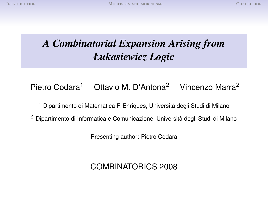# *A Combinatorial Expansion Arising from Łukasiewicz Logic*

# Pietro Codara<sup>1</sup> Ottavio M. D'Antona<sup>2</sup> Vincenzo Marra<sup>2</sup>

<sup>1</sup> Dipartimento di Matematica F. Enriques, Università degli Studi di Milano

<sup>2</sup> Dipartimento di Informatica e Comunicazione, Università degli Studi di Milano

Presenting author: Pietro Codara

# COMBINATORICS 2008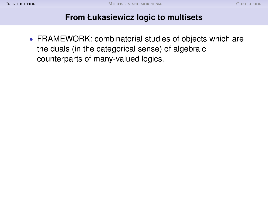<span id="page-1-0"></span>• FRAMEWORK: combinatorial studies of objects which are the duals (in the categorical sense) of algebraic counterparts of many-valued logics.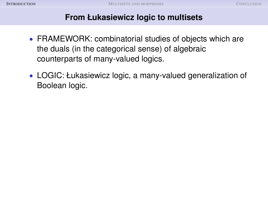- FRAMEWORK: combinatorial studies of objects which are the duals (in the categorical sense) of algebraic counterparts of many-valued logics.
- LOGIC: Łukasiewicz logic, a many-valued generalization of Boolean logic.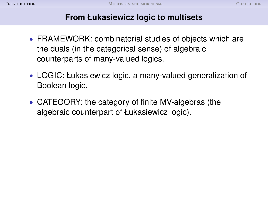- FRAMEWORK: combinatorial studies of objects which are the duals (in the categorical sense) of algebraic counterparts of many-valued logics.
- LOGIC: Łukasiewicz logic, a many-valued generalization of Boolean logic.
- CATEGORY: the category of finite MV-algebras (the algebraic counterpart of Łukasiewicz logic).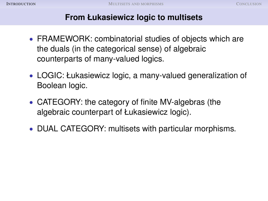- FRAMEWORK: combinatorial studies of objects which are the duals (in the categorical sense) of algebraic counterparts of many-valued logics.
- LOGIC: Łukasiewicz logic, a many-valued generalization of Boolean logic.
- CATEGORY: the category of finite MV-algebras (the algebraic counterpart of Łukasiewicz logic).
- DUAL CATEGORY: multisets with particular morphisms.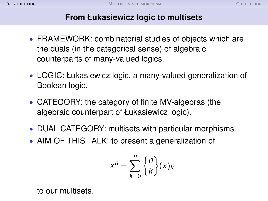- FRAMEWORK: combinatorial studies of objects which are the duals (in the categorical sense) of algebraic counterparts of many-valued logics.
- LOGIC: Łukasiewicz logic, a many-valued generalization of Boolean logic.
- CATEGORY: the category of finite MV-algebras (the algebraic counterpart of Łukasiewicz logic).
- DUAL CATEGORY: multisets with particular morphisms.
- AIM OF THIS TALK: to present a generalization of

$$
x^n = \sum_{k=0}^n \binom{n}{k} (x)_k
$$

to our multisets.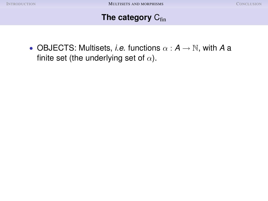<span id="page-6-0"></span>• OBJECTS: Multisets, *i.e.* functions  $\alpha : A \rightarrow \mathbb{N}$ , with A a finite set (the underlying set of  $\alpha$ ).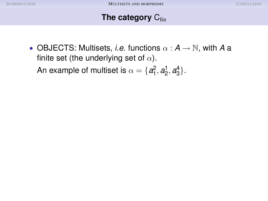• OBJECTS: Multisets, *i.e.* functions  $\alpha : A \rightarrow \mathbb{N}$ , with A a finite set (the underlying set of  $\alpha$ ). An example of multiset is  $\alpha = \{a_1^2, a_2^1, a_3^4\}.$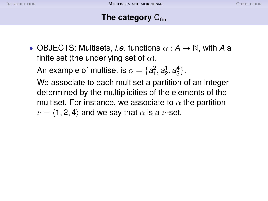• OBJECTS: Multisets, *i.e.* functions  $\alpha : A \rightarrow \mathbb{N}$ , with A a finite set (the underlying set of  $\alpha$ ).

An example of multiset is  $\alpha = \{a_1^2, a_2^1, a_3^4\}.$ 

We associate to each multiset a partition of an integer determined by the multiplicities of the elements of the multiset. For instance, we associate to  $\alpha$  the partition  $\nu = \langle 1, 2, 4 \rangle$  and we say that  $\alpha$  is a  $\nu$ -set.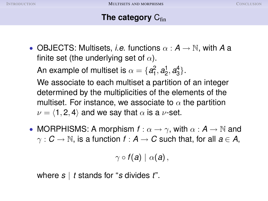• OBJECTS: Multisets, *i.e.* functions  $\alpha : A \rightarrow \mathbb{N}$ , with A a finite set (the underlying set of  $\alpha$ ).

An example of multiset is  $\alpha = \{a_1^2, a_2^1, a_3^4\}.$ 

We associate to each multiset a partition of an integer determined by the multiplicities of the elements of the multiset. For instance, we associate to  $\alpha$  the partition  $\nu = \langle 1, 2, 4 \rangle$  and we say that  $\alpha$  is a  $\nu$ -set.

• MORPHISMS: A morphism  $f: \alpha \to \gamma$ , with  $\alpha: A \to \mathbb{N}$  and  $\gamma$  :  $C \rightarrow \mathbb{N}$ , is a function  $f : A \rightarrow C$  such that, for all  $a \in A$ ,

 $\gamma \circ f(a) \mid \alpha(a)$ ,

where *s* | *t* stands for "*s* divides *t*".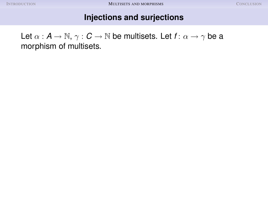Let  $\alpha : A \to \mathbb{N}, \gamma : C \to \mathbb{N}$  be multisets. Let  $f: \alpha \to \gamma$  be a morphism of multisets.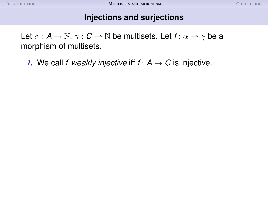Let  $\alpha : A \to \mathbb{N}, \gamma : C \to \mathbb{N}$  be multisets. Let  $f: \alpha \to \gamma$  be a morphism of multisets.

*1.* We call *f* weakly injective iff  $f: A \rightarrow C$  is injective.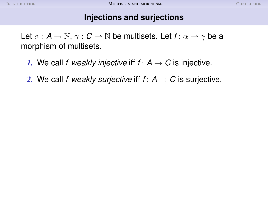Let  $\alpha$  :  $A \rightarrow \mathbb{N}, \gamma : C \rightarrow \mathbb{N}$  be multisets. Let  $f: \alpha \rightarrow \gamma$  be a morphism of multisets.

- *1.* We call *f* weakly injective iff  $f: A \rightarrow C$  is injective.
- 2. We call *f* weakly surjective iff  $f: A \rightarrow C$  is surjective.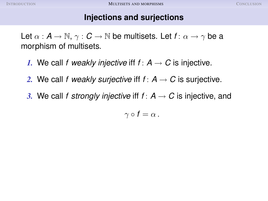Let  $\alpha$  :  $A \rightarrow \mathbb{N}, \gamma : C \rightarrow \mathbb{N}$  be multisets. Let  $f: \alpha \rightarrow \gamma$  be a morphism of multisets.

- *1.* We call *f* weakly injective iff  $f: A \rightarrow C$  is injective.
- 2. We call *f* weakly surjective iff  $f: A \rightarrow C$  is surjective.
- *3.* We call *f strongly injective* iff  $f: A \rightarrow C$  is injective, and

$$
\gamma\circ f=\alpha\,.
$$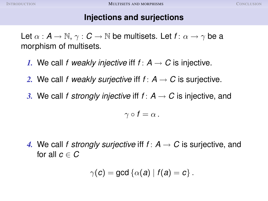Let  $\alpha : A \to \mathbb{N}, \gamma : C \to \mathbb{N}$  be multisets. Let  $f: \alpha \to \gamma$  be a morphism of multisets.

- *1.* We call *f* weakly injective iff  $f: A \rightarrow C$  is injective.
- 2. We call f weakly surjective iff  $f: A \rightarrow C$  is surjective.
- *3.* We call *f strongly injective* iff  $f: A \rightarrow C$  is injective, and

$$
\gamma\circ f=\alpha\,.
$$

*4.* We call *f strongly surjective* iff  $f: A \rightarrow C$  is surjective, and for all  $c \in C$ 

$$
\gamma(c) = \gcd\left\{\alpha(a) \mid f(a) = c\right\}.
$$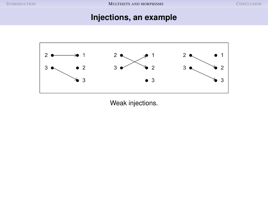### **Injections, an example**



Weak injections.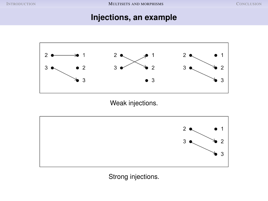#### **Injections, an example**



Weak injections.



Strong injections.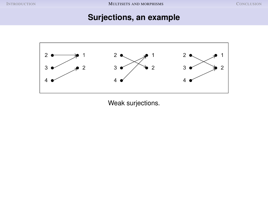### **Surjections, an example**



Weak surjections.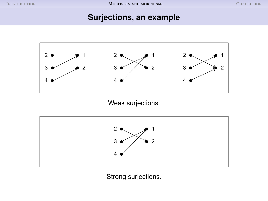### **Surjections, an example**



Weak surjections.



Strong surjections.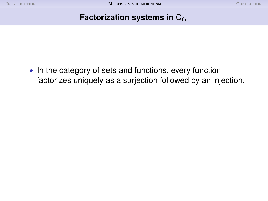### **Factorization systems in C<sub>fin</sub>**

• In the category of sets and functions, every function factorizes uniquely as a surjection followed by an injection.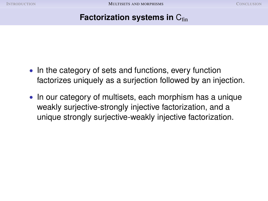### **Factorization systems in** C<sub>fin</sub>

- In the category of sets and functions, every function factorizes uniquely as a surjection followed by an injection.
- In our category of multisets, each morphism has a unique weakly surjective-strongly injective factorization, and a unique strongly surjective-weakly injective factorization.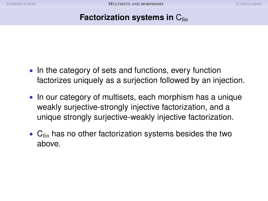### **Factorization systems in C<sub>fin</sub>**

- In the category of sets and functions, every function factorizes uniquely as a surjection followed by an injection.
- In our category of multisets, each morphism has a unique weakly surjective-strongly injective factorization, and a unique strongly surjective-weakly injective factorization.
- $C<sub>fin</sub>$  has no other factorization systems besides the two above.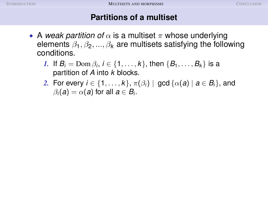- A *weak partition of*  $\alpha$  is a multiset  $\pi$  whose underlying elements  $\beta_1, \beta_2, ..., \beta_k$  are multisets satisfying the following conditions.
	- *1.* If  $B_i = \text{Dom }\beta_i$ ,  $i \in \{1, \ldots, k\}$ , then  $\{B_1, \ldots, B_k\}$  is a partition of *A* into *k* blocks.
	- 2. For every  $i \in \{1, \ldots, k\}, \pi(\beta_i) \mid \gcd{\{\alpha(a) \mid a \in B_i\}},$  and  $\beta_i(a) = \alpha(a)$  for all  $a \in B_i$ .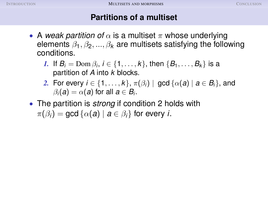- A *weak partition of*  $\alpha$  is a multiset  $\pi$  whose underlying elements  $\beta_1, \beta_2, ..., \beta_k$  are multisets satisfying the following conditions.
	- *1.* If  $B_i = \text{Dom }\beta_i$ ,  $i \in \{1, \ldots, k\}$ , then  $\{B_1, \ldots, B_k\}$  is a partition of *A* into *k* blocks.
	- 2. For every  $i \in \{1, \ldots, k\}, \pi(\beta_i) \mid \gcd{\{\alpha(a) \mid a \in B_i\}},$  and  $\beta_i(a) = \alpha(a)$  for all  $a \in B_i$ .
- The partition is *strong* if condition 2 holds with  $\pi(\beta_i) = \text{gcd} \{ \alpha(a) \mid a \in \beta_i \}$  for every *i*.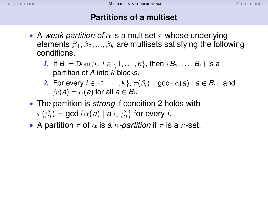- A *weak partition of*  $\alpha$  is a multiset  $\pi$  whose underlying elements  $\beta_1, \beta_2, ..., \beta_k$  are multisets satisfying the following conditions.
	- *1.* If  $B_i = \text{Dom }\beta_i$ ,  $i \in \{1, \ldots, k\}$ , then  $\{B_1, \ldots, B_k\}$  is a partition of *A* into *k* blocks.
	- 2. For every  $i \in \{1, \ldots, k\}, \pi(\beta_i) \mid \gcd{\{\alpha(a) \mid a \in B_i\}},$  and  $\beta_i(a) = \alpha(a)$  for all  $a \in B_i$ .
- The partition is *strong* if condition 2 holds with  $\pi(\beta_i) = \text{gcd} \{ \alpha(a) \mid a \in \beta_i \}$  for every *i*.
- A partition  $\pi$  of  $\alpha$  is a  $\kappa$ -partition if  $\pi$  is a  $\kappa$ -set.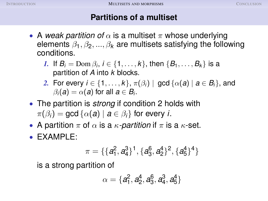- A *weak partition of*  $\alpha$  is a multiset  $\pi$  whose underlying elements  $\beta_1, \beta_2, ..., \beta_k$  are multisets satisfying the following conditions.
	- *1.* If  $B_i = \text{Dom }\beta_i$ ,  $i \in \{1, \ldots, k\}$ , then  $\{B_1, \ldots, B_k\}$  is a partition of *A* into *k* blocks.
	- 2. For every  $i \in \{1, \ldots, k\}, \pi(\beta_i) \mid \gcd{\{\alpha(a) \mid a \in B_i\}},$  and  $\beta_i(a) = \alpha(a)$  for all  $a \in B_i$ .
- The partition is *strong* if condition 2 holds with  $\pi(\beta_i) = \text{gcd} \{ \alpha(a) \mid a \in \beta_i \}$  for every *i*.
- A partition  $\pi$  of  $\alpha$  is a  $\kappa$ -partition if  $\pi$  is a  $\kappa$ -set.
- EXAMPLE:

$$
\pi = \{\{a_1^2, a_4^3\}^1, \{a_3^6, a_2^4\}^2, \{a_5^4\}^4\}
$$

is a strong partition of

$$
\alpha=\{a_1^2, a_2^4, a_3^6, a_4^3, a_5^4\}
$$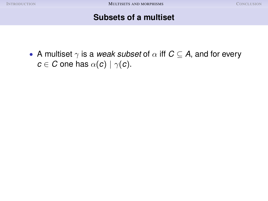### **Subsets of a multiset**

• A multiset  $\gamma$  is a *weak subset* of  $\alpha$  iff  $C \subseteq A$ , and for every  $c \in C$  one has  $\alpha(c) | \gamma(c)$ .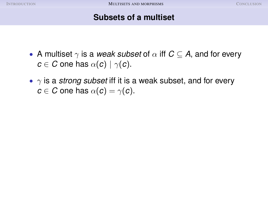### **Subsets of a multiset**

- A multiset  $\gamma$  is a *weak subset* of  $\alpha$  iff  $C \subset A$ , and for every  $c \in C$  one has  $\alpha(c) | \gamma(c)$ .
- $\gamma$  is a *strong subset* iff it is a weak subset, and for every  $c \in C$  one has  $\alpha(c) = \gamma(c)$ .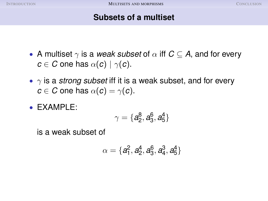### **Subsets of a multiset**

- A multiset  $\gamma$  is a *weak subset* of  $\alpha$  iff  $C \subset A$ , and for every  $c \in C$  one has  $\alpha(c) | \gamma(c)$ .
- $\gamma$  is a *strong subset* iff it is a weak subset, and for every  $c \in C$  one has  $\alpha(c) = \gamma(c)$ .
- EXAMPLE:

$$
\gamma=\{a_2^8, a_3^6, a_5^4\}
$$

is a weak subset of

$$
\alpha=\{a_1^2, a_2^4, a_3^6, a_4^3, a_5^4\}
$$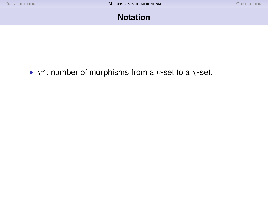.

### **Notation**

# •  $\chi^{\nu}$ : number of morphisms from a  $\nu$ -set to a  $\chi$ -set.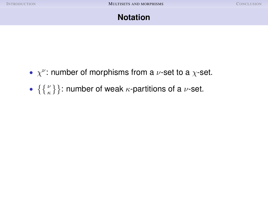- $\chi^{\nu}$ : number of morphisms from a  $\nu$ -set to a  $\chi$ -set.
- $\{ \{ \begin{bmatrix} \nu \\ \kappa \end{bmatrix} \}$ : number of weak  $\kappa$ -partitions of a  $\nu$ -set.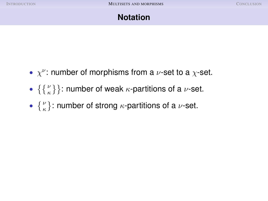- $\chi^{\nu}$ : number of morphisms from a  $\nu$ -set to a  $\chi$ -set.
- $\{ \{ \begin{bmatrix} \nu \\ \kappa \end{bmatrix} \}$ : number of weak  $\kappa$ -partitions of a  $\nu$ -set.
- $\{ \begin{matrix} \nu \\ \kappa \end{matrix} \}$ : number of strong  $\kappa$ -partitions of a  $\nu$ -set.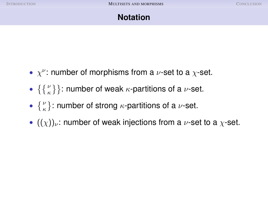- $\chi^{\nu}$ : number of morphisms from a  $\nu$ -set to a  $\chi$ -set.
- $\{ \{ \begin{bmatrix} \nu \\ \kappa \end{bmatrix} \}$ : number of weak  $\kappa$ -partitions of a  $\nu$ -set.
- $\{ \begin{matrix} \nu \\ \kappa \end{matrix} \}$ : number of strong  $\kappa$ -partitions of a  $\nu$ -set.
- $((\chi))_{\nu}$ : number of weak injections from a  $\nu$ -set to a  $\chi$ -set.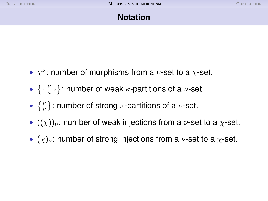- $\chi^{\nu}$ : number of morphisms from a  $\nu$ -set to a  $\chi$ -set.
- $\{ \{ \begin{bmatrix} \nu \\ \kappa \end{bmatrix} \}$ : number of weak  $\kappa$ -partitions of a  $\nu$ -set.
- $\{ \begin{matrix} \nu \\ \kappa \end{matrix} \}$ : number of strong  $\kappa$ -partitions of a  $\nu$ -set.
- $((\chi))_{\nu}$ : number of weak injections from a  $\nu$ -set to a  $\chi$ -set.
- $(\chi)_{\nu}$ : number of strong injections from a  $\nu$ -set to a  $\chi$ -set.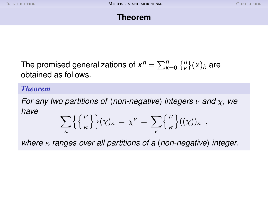

The promised generalizations of  $x^n = \sum_{k=0}^n \binom{n}{k} (x)_k$  are obtained as follows.

*Theorem*

*For any two partitions of* (*non-negative*) *integers* ν *and* χ*, we have*

$$
\sum_{\kappa} {\{\psi\}\}(\chi)_{\kappa} = \chi^{\nu} = \sum_{\kappa} {\nu \choose \kappa} ((\chi))_{\kappa} ,
$$

*where* κ *ranges over all partitions of a* (*non-negative*) *integer.*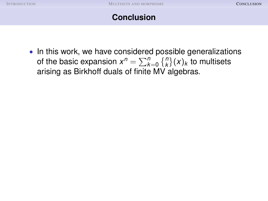<span id="page-35-0"></span>• In this work, we have considered possible generalizations of the basic expansion  $x^n = \sum_{k=0}^n \binom{n}{k} (x)_k$  to multisets arising as Birkhoff duals of finite MV algebras.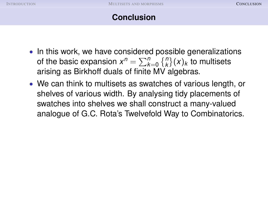- In this work, we have considered possible generalizations of the basic expansion  $x^n = \sum_{k=0}^n \binom{n}{k} (x)_k$  to multisets arising as Birkhoff duals of finite MV algebras.
- We can think to multisets as swatches of various length, or shelves of various width. By analysing tidy placements of swatches into shelves we shall construct a many-valued analogue of G.C. Rota's Twelvefold Way to Combinatorics.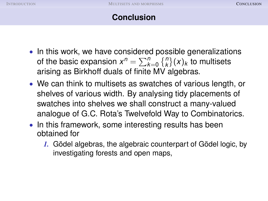- In this work, we have considered possible generalizations of the basic expansion  $x^n = \sum_{k=0}^n \binom{n}{k} (x)_k$  to multisets arising as Birkhoff duals of finite MV algebras.
- We can think to multisets as swatches of various length, or shelves of various width. By analysing tidy placements of swatches into shelves we shall construct a many-valued analogue of G.C. Rota's Twelvefold Way to Combinatorics.
- In this framework, some interesting results has been obtained for
	- *1.* Gödel algebras, the algebraic counterpart of Gödel logic, by investigating forests and open maps,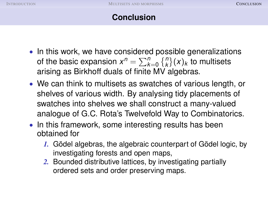- In this work, we have considered possible generalizations of the basic expansion  $x^n = \sum_{k=0}^n \binom{n}{k} (x)_k$  to multisets arising as Birkhoff duals of finite MV algebras.
- We can think to multisets as swatches of various length, or shelves of various width. By analysing tidy placements of swatches into shelves we shall construct a many-valued analogue of G.C. Rota's Twelvefold Way to Combinatorics.
- In this framework, some interesting results has been obtained for
	- *1.* Gödel algebras, the algebraic counterpart of Gödel logic, by investigating forests and open maps,
	- *2.* Bounded distributive lattices, by investigating partially ordered sets and order preserving maps.